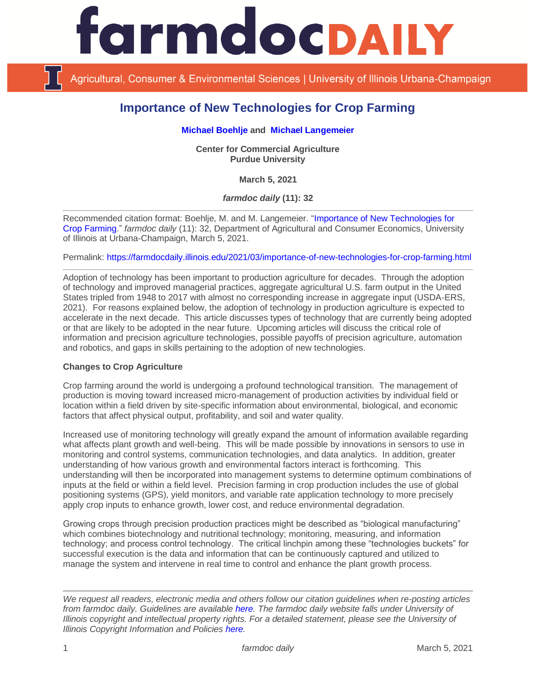

Agricultural, Consumer & Environmental Sciences | University of Illinois Urbana-Champaign

# **Importance of New Technologies for Crop Farming**

### **[Michael Boehlje](https://ag.purdue.edu/commercialag/Pages/Faculty-Staff/Boehlje.aspx) and [Michael Langemeier](https://ag.purdue.edu/commercialag/Pages/Faculty-Staff/Langemeier.aspx)**

**Center for Commercial Agriculture Purdue University**

**March 5, 2021**

*farmdoc daily* **(11): 32**

Recommended citation format: Boehlje, M. and M. Langemeier. ["Importance of New Technologies for](https://farmdocdaily.illinois.edu/2021/03/importance-of-new-technologies-for-crop-farming.html)  [Crop Farming.](https://farmdocdaily.illinois.edu/2021/03/importance-of-new-technologies-for-crop-farming.html)" *farmdoc daily* (11): 32, Department of Agricultural and Consumer Economics, University of Illinois at Urbana-Champaign, March 5, 2021.

Permalink:<https://farmdocdaily.illinois.edu/2021/03/importance-of-new-technologies-for-crop-farming.html>

Adoption of technology has been important to production agriculture for decades. Through the adoption of technology and improved managerial practices, aggregate agricultural U.S. farm output in the United States tripled from 1948 to 2017 with almost no corresponding increase in aggregate input (USDA-ERS, 2021). For reasons explained below, the adoption of technology in production agriculture is expected to accelerate in the next decade. This article discusses types of technology that are currently being adopted or that are likely to be adopted in the near future. Upcoming articles will discuss the critical role of information and precision agriculture technologies, possible payoffs of precision agriculture, automation and robotics, and gaps in skills pertaining to the adoption of new technologies.

## **Changes to Crop Agriculture**

Crop farming around the world is undergoing a profound technological transition. The management of production is moving toward increased micro-management of production activities by individual field or location within a field driven by site-specific information about environmental, biological, and economic factors that affect physical output, profitability, and soil and water quality.

Increased use of monitoring technology will greatly expand the amount of information available regarding what affects plant growth and well-being. This will be made possible by innovations in sensors to use in monitoring and control systems, communication technologies, and data analytics. In addition, greater understanding of how various growth and environmental factors interact is forthcoming. This understanding will then be incorporated into management systems to determine optimum combinations of inputs at the field or within a field level. Precision farming in crop production includes the use of global positioning systems (GPS), yield monitors, and variable rate application technology to more precisely apply crop inputs to enhance growth, lower cost, and reduce environmental degradation.

Growing crops through precision production practices might be described as "biological manufacturing" which combines biotechnology and nutritional technology; monitoring, measuring, and information technology; and process control technology. The critical linchpin among these "technologies buckets" for successful execution is the data and information that can be continuously captured and utilized to manage the system and intervene in real time to control and enhance the plant growth process.

*We request all readers, electronic media and others follow our citation guidelines when re-posting articles from farmdoc daily. Guidelines are available [here.](http://farmdocdaily.illinois.edu/citationguide.html) The farmdoc daily website falls under University of Illinois copyright and intellectual property rights. For a detailed statement, please see the University of Illinois Copyright Information and Policies [here.](http://www.cio.illinois.edu/policies/copyright/)*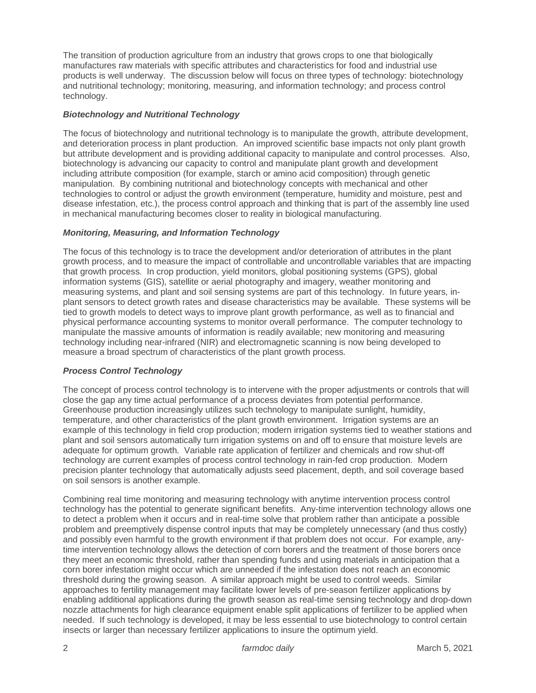The transition of production agriculture from an industry that grows crops to one that biologically manufactures raw materials with specific attributes and characteristics for food and industrial use products is well underway. The discussion below will focus on three types of technology: biotechnology and nutritional technology; monitoring, measuring, and information technology; and process control technology.

## *Biotechnology and Nutritional Technology*

The focus of biotechnology and nutritional technology is to manipulate the growth, attribute development, and deterioration process in plant production. An improved scientific base impacts not only plant growth but attribute development and is providing additional capacity to manipulate and control processes. Also, biotechnology is advancing our capacity to control and manipulate plant growth and development including attribute composition (for example, starch or amino acid composition) through genetic manipulation. By combining nutritional and biotechnology concepts with mechanical and other technologies to control or adjust the growth environment (temperature, humidity and moisture, pest and disease infestation, etc.), the process control approach and thinking that is part of the assembly line used in mechanical manufacturing becomes closer to reality in biological manufacturing.

#### *Monitoring, Measuring, and Information Technology*

The focus of this technology is to trace the development and/or deterioration of attributes in the plant growth process, and to measure the impact of controllable and uncontrollable variables that are impacting that growth process. In crop production, yield monitors, global positioning systems (GPS), global information systems (GIS), satellite or aerial photography and imagery, weather monitoring and measuring systems, and plant and soil sensing systems are part of this technology. In future years, inplant sensors to detect growth rates and disease characteristics may be available. These systems will be tied to growth models to detect ways to improve plant growth performance, as well as to financial and physical performance accounting systems to monitor overall performance. The computer technology to manipulate the massive amounts of information is readily available; new monitoring and measuring technology including near-infrared (NIR) and electromagnetic scanning is now being developed to measure a broad spectrum of characteristics of the plant growth process.

## *Process Control Technology*

The concept of process control technology is to intervene with the proper adjustments or controls that will close the gap any time actual performance of a process deviates from potential performance. Greenhouse production increasingly utilizes such technology to manipulate sunlight, humidity, temperature, and other characteristics of the plant growth environment. Irrigation systems are an example of this technology in field crop production; modern irrigation systems tied to weather stations and plant and soil sensors automatically turn irrigation systems on and off to ensure that moisture levels are adequate for optimum growth. Variable rate application of fertilizer and chemicals and row shut-off technology are current examples of process control technology in rain-fed crop production. Modern precision planter technology that automatically adjusts seed placement, depth, and soil coverage based on soil sensors is another example.

Combining real time monitoring and measuring technology with anytime intervention process control technology has the potential to generate significant benefits. Any-time intervention technology allows one to detect a problem when it occurs and in real-time solve that problem rather than anticipate a possible problem and preemptively dispense control inputs that may be completely unnecessary (and thus costly) and possibly even harmful to the growth environment if that problem does not occur. For example, anytime intervention technology allows the detection of corn borers and the treatment of those borers once they meet an economic threshold, rather than spending funds and using materials in anticipation that a corn borer infestation might occur which are unneeded if the infestation does not reach an economic threshold during the growing season. A similar approach might be used to control weeds. Similar approaches to fertility management may facilitate lower levels of pre-season fertilizer applications by enabling additional applications during the growth season as real-time sensing technology and drop-down nozzle attachments for high clearance equipment enable split applications of fertilizer to be applied when needed. If such technology is developed, it may be less essential to use biotechnology to control certain insects or larger than necessary fertilizer applications to insure the optimum yield.